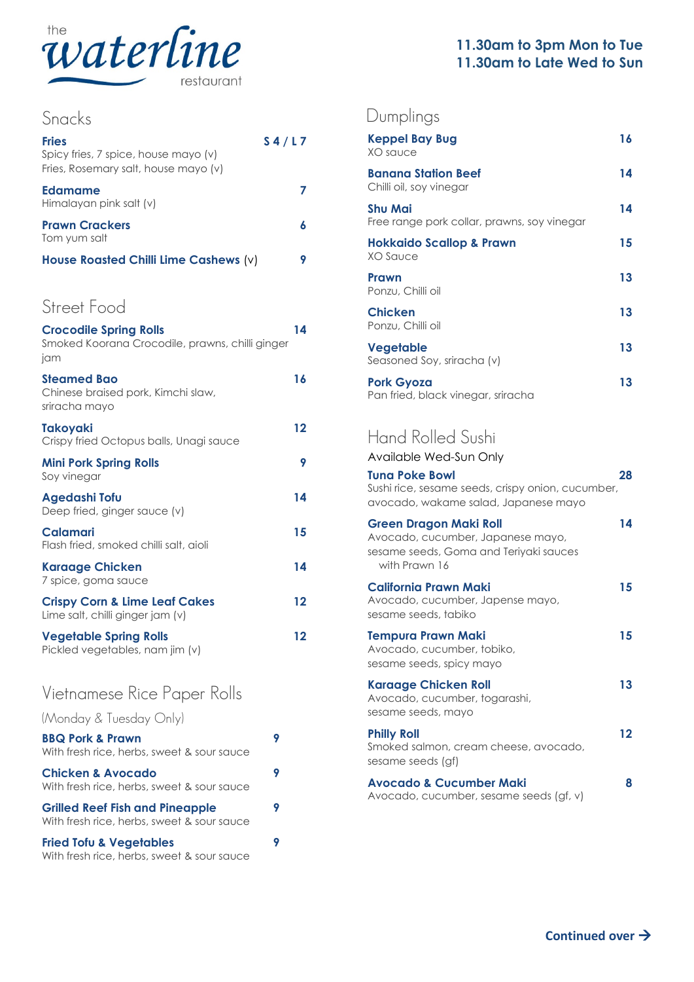

| Snacks                                                                                       |       |
|----------------------------------------------------------------------------------------------|-------|
| <b>Fries</b><br>Spicy fries, 7 spice, house mayo (v)<br>Fries, Rosemary salt, house mayo (v) | S4/L7 |
| <b>Edamame</b><br>Himalayan pink salt (v)                                                    | 7     |
| <b>Prawn Crackers</b><br>Tom yum salt                                                        | 6     |
| House Roasted Chilli Lime Cashews (v)                                                        | 9     |
| Street Food<br><b>Crocodile Spring Rolls</b>                                                 | 14    |
| Smoked Koorana Crocodile, prawns, chilli ginger<br>jam                                       |       |
| <b>Steamed Bao</b><br>Chinese braised pork, Kimchi slaw,<br>sriracha mayo                    | 16    |
| <b>Takoyaki</b><br>Crispy fried Octopus balls, Unagi sauce                                   | 12    |
| <b>Mini Pork Spring Rolls</b><br>Soy vinegar                                                 | 9     |
| <b>Agedashi Tofu</b><br>Deep fried, ginger sauce (v)                                         | 14    |
| Calamari<br>Flash fried, smoked chilli salt, aioli                                           | 15    |
| <b>Karaage Chicken</b><br>7 spice, goma sauce                                                | 14    |
| <b>Crispy Corn &amp; Lime Leaf Cakes</b><br>Lime salt, chilli ginger jam (v)                 | 12    |
| <b>Vegetable Spring Rolls</b><br>Pickled vegetables, nam jim (v)                             | 12    |
| Vietnamese Rice Paper Rolls                                                                  |       |
| (Monday & Tuesday Only)                                                                      |       |
| <b>BBQ Pork &amp; Prawn</b><br>With fresh rice, herbs, sweet & sour sauce                    | 9     |
| <b>Chicken &amp; Avocado</b><br>With fresh rice, herbs, sweet & sour sauce                   | 9     |
| <b>Grilled Reef Fish and Pineapple</b><br>With fresh rice, herbs, sweet & sour sauce         | 9     |

**Fried Tofu & Vegetables 9** With fresh rice, herbs, sweet & sour sauce

## Dumplings

| Keppel Bay Bug<br>XO sauce                                    | 16 |
|---------------------------------------------------------------|----|
| <b>Banana Station Beef</b><br>Chilli oil, soy vinegar         | 14 |
| <b>Shu Mai</b><br>Free range pork collar, prawns, soy vinegar | 14 |
| Hokkaido Scallop & Prawn<br>XO Sauce                          | 15 |
| Prawn<br>Ponzu, Chilli oil                                    | 13 |
| <b>Chicken</b><br>Ponzu, Chilli oil                           | 13 |
| Vegetable<br>Seasoned Soy, sriracha (v)                       | 13 |
| <b>Pork Gyoza</b><br>Pan fried, black vinegar, sriracha       | 13 |

## Hand Rolled Sushi

Available Wed-Sun Only

| <b>Tuna Poke Bowl</b><br>Sushi rice, sesame seeds, crispy onion, cucumber,<br>avocado, wakame salad, Japanese mayo            | 28 |
|-------------------------------------------------------------------------------------------------------------------------------|----|
| <b>Green Dragon Maki Roll</b><br>Avocado, cucumber, Japanese mayo,<br>sesame seeds, Goma and Teriyaki sauces<br>with Prawn 16 | 14 |
| California Prawn Maki<br>Avocado, cucumber, Japense mayo,<br>sesame seeds, tabiko                                             | 15 |
| Tempura Prawn Maki<br>Avocado, cucumber, tobiko,<br>sesame seeds, spicy mayo                                                  | 15 |
| <b>Karaage Chicken Roll</b><br>Avocado, cucumber, togarashi,<br>sesame seeds, mayo                                            | 13 |
| <b>Philly Roll</b><br>Smoked salmon, cream cheese, avocado,<br>sesame seeds (gf)                                              | 12 |
| <b>Avocado &amp; Cucumber Maki</b><br>Avocado, cucumber, sesame seeds (gf, v)                                                 | 8  |